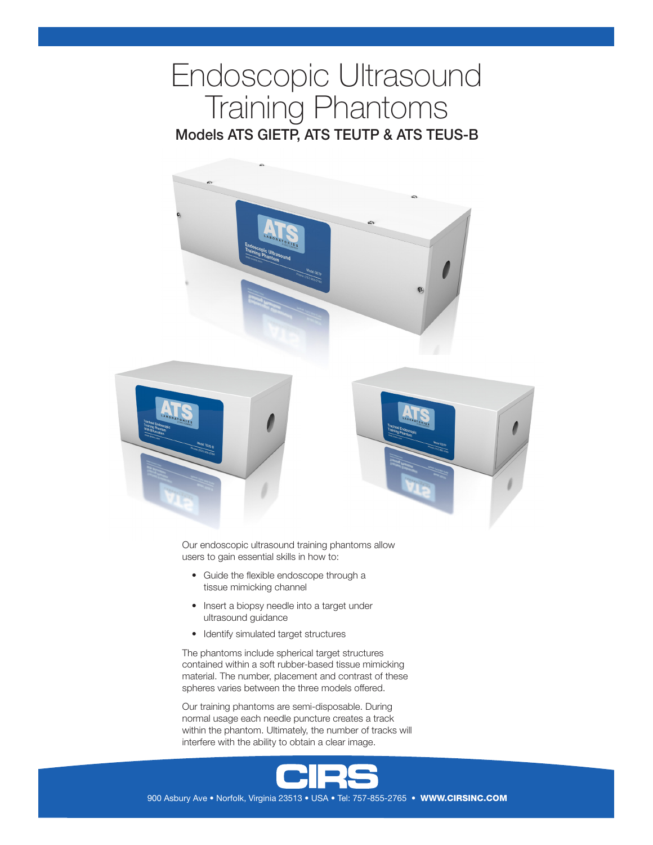# Endoscopic Ultrasound Training Phantoms Models ATS GIETP, ATS TEUTP & ATS TEUS-B







Our endoscopic ultrasound training phantoms allow users to gain essential skills in how to:

- Guide the flexible endoscope through a tissue mimicking channel
- Insert a biopsy needle into a target under ultrasound guidance
- Identify simulated target structures

The phantoms include spherical target structures contained within a soft rubber-based tissue mimicking material. The number, placement and contrast of these spheres varies between the three models offered.

Our training phantoms are semi-disposable. During normal usage each needle puncture creates a track within the phantom. Ultimately, the number of tracks will interfere with the ability to obtain a clear image.



900 Asbury Ave • Norfolk, Virginia 23513 • USA • Tel: 757-855-2765 • WWW.CIRSINC.COM